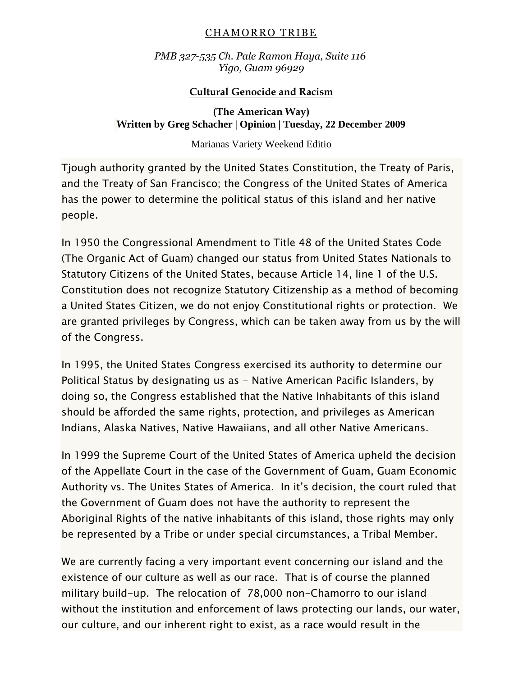#### CHAMORRO TRIBE

*PMB 327-535 Ch. Pale Ramon Haya, Suite 116 Yigo, Guam 96929*

## **Cultural Genocide and Racism**

## **(The American Way) Written by Greg Schacher | Opinion | Tuesday, 22 December 2009**

### Marianas Variety Weekend Editio

Tjough authority granted by the United States Constitution, the Treaty of Paris, and the Treaty of San Francisco; the Congress of the United States of America has the power to determine the political status of this island and her native people.

In 1950 the Congressional Amendment to Title 48 of the United States Code (The Organic Act of Guam) changed our status from United States Nationals to Statutory Citizens of the United States, because Article 14, line 1 of the U.S. Constitution does not recognize Statutory Citizenship as a method of becoming a United States Citizen, we do not enjoy Constitutional rights or protection. We are granted privileges by Congress, which can be taken away from us by the will of the Congress.

In 1995, the United States Congress exercised its authority to determine our Political Status by designating us as - Native American Pacific Islanders, by doing so, the Congress established that the Native Inhabitants of this island should be afforded the same rights, protection, and privileges as American Indians, Alaska Natives, Native Hawaiians, and all other Native Americans.

In 1999 the Supreme Court of the United States of America upheld the decision of the Appellate Court in the case of the Government of Guam, Guam Economic Authority vs. The Unites States of America. In it's decision, the court ruled that the Government of Guam does not have the authority to represent the Aboriginal Rights of the native inhabitants of this island, those rights may only be represented by a Tribe or under special circumstances, a Tribal Member.

We are currently facing a very important event concerning our island and the existence of our culture as well as our race. That is of course the planned military build-up. The relocation of 78,000 non-Chamorro to our island without the institution and enforcement of laws protecting our lands, our water, our culture, and our inherent right to exist, as a race would result in the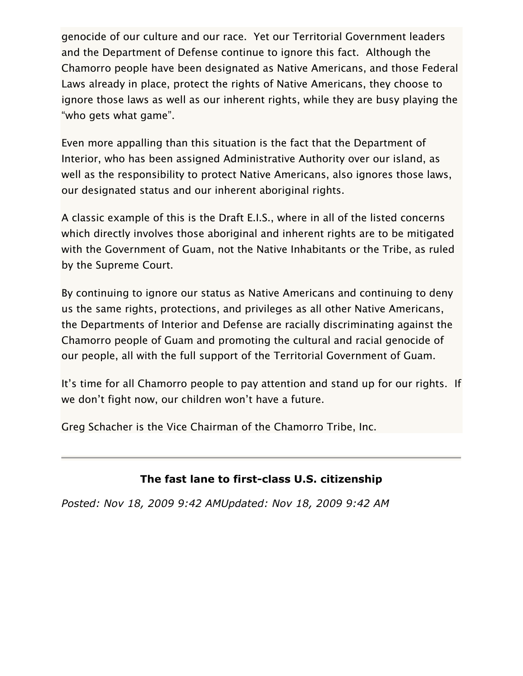genocide of our culture and our race. Yet our Territorial Government leaders and the Department of Defense continue to ignore this fact. Although the Chamorro people have been designated as Native Americans, and those Federal Laws already in place, protect the rights of Native Americans, they choose to ignore those laws as well as our inherent rights, while they are busy playing the "who gets what game".

Even more appalling than this situation is the fact that the Department of Interior, who has been assigned Administrative Authority over our island, as well as the responsibility to protect Native Americans, also ignores those laws, our designated status and our inherent aboriginal rights.

A classic example of this is the Draft E.I.S., where in all of the listed concerns which directly involves those aboriginal and inherent rights are to be mitigated with the Government of Guam, not the Native Inhabitants or the Tribe, as ruled by the Supreme Court.

By continuing to ignore our status as Native Americans and continuing to deny us the same rights, protections, and privileges as all other Native Americans, the Departments of Interior and Defense are racially discriminating against the Chamorro people of Guam and promoting the cultural and racial genocide of our people, all with the full support of the Territorial Government of Guam.

It's time for all Chamorro people to pay attention and stand up for our rights. If we don't fight now, our children won't have a future.

Greg Schacher is the Vice Chairman of the Chamorro Tribe, Inc.

# **The fast lane to first-class U.S. citizenship**

*Posted: Nov 18, 2009 9:42 AMUpdated: Nov 18, 2009 9:42 AM*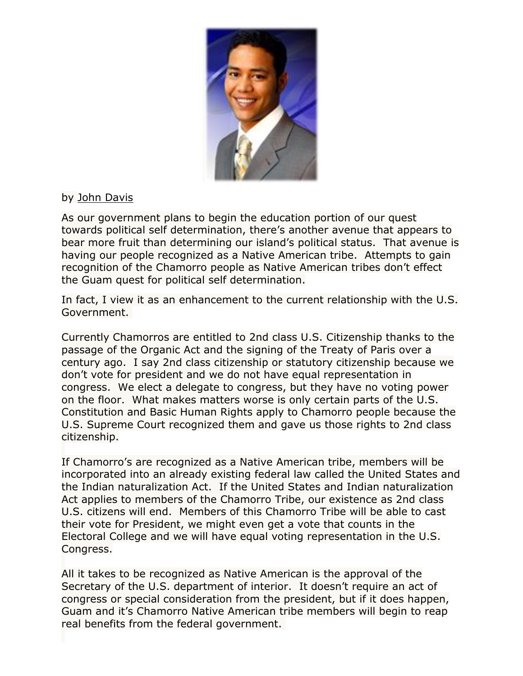

## by [John Davis](mailto:john@kuam.com)

As our government plans to begin the education portion of our quest towards political self determination, there's another avenue that appears to bear more fruit than determining our island's political status. That avenue is having our people recognized as a Native American tribe. Attempts to gain recognition of the Chamorro people as Native American tribes don't effect the Guam quest for political self determination.

In fact, I view it as an enhancement to the current relationship with the U.S. Government.

Currently Chamorros are entitled to 2nd class U.S. Citizenship thanks to the passage of the Organic Act and the signing of the Treaty of Paris over a century ago. I say 2nd class citizenship or statutory citizenship because we don't vote for president and we do not have equal representation in congress. We elect a delegate to congress, but they have no voting power on the floor. What makes matters worse is only certain parts of the U.S. Constitution and Basic Human Rights apply to Chamorro people because the U.S. Supreme Court recognized them and gave us those rights to 2nd class citizenship.

If Chamorro's are recognized as a Native American tribe, members will be incorporated into an already existing federal law called the United States and the Indian naturalization Act. If the United States and Indian naturalization Act applies to members of the Chamorro Tribe, our existence as 2nd class U.S. citizens will end. Members of this Chamorro Tribe will be able to cast their vote for President, we might even get a vote that counts in the Electoral College and we will have equal voting representation in the U.S. Congress.

All it takes to be recognized as Native American is the approval of the Secretary of the U.S. department of interior. It doesn't require an act of congress or special consideration from the president, but if it does happen, Guam and it's Chamorro Native American tribe members will begin to reap real benefits from the federal government.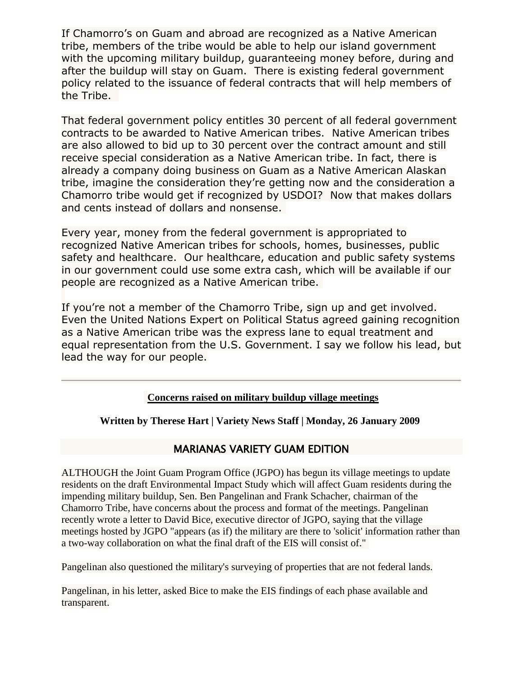If Chamorro's on Guam and abroad are recognized as a Native American tribe, members of the tribe would be able to help our island government with the upcoming military buildup, guaranteeing money before, during and after the buildup will stay on Guam. There is existing federal government policy related to the issuance of federal contracts that will help members of the Tribe.

That federal government policy entitles 30 percent of all federal government contracts to be awarded to Native American tribes. Native American tribes are also allowed to bid up to 30 percent over the contract amount and still receive special consideration as a Native American tribe. In fact, there is already a company doing business on Guam as a Native American Alaskan tribe, imagine the consideration they're getting now and the consideration a Chamorro tribe would get if recognized by USDOI? Now that makes dollars and cents instead of dollars and nonsense.

Every year, money from the federal government is appropriated to recognized Native American tribes for schools, homes, businesses, public safety and healthcare. Our healthcare, education and public safety systems in our government could use some extra cash, which will be available if our people are recognized as a Native American tribe.

If you're not a member of the Chamorro Tribe, sign up and get involved. Even the United Nations Expert on Political Status agreed gaining recognition as a Native American tribe was the express lane to equal treatment and equal representation from the U.S. Government. I say we follow his lead, but lead the way for our people.

#### **Concerns raised on military buildup village meetings**

**Written by Therese Hart | Variety News Staff | Monday, 26 January 2009**

## MARIANAS VARIETY GUAM EDITION

ALTHOUGH the Joint Guam Program Office (JGPO) has begun its village meetings to update residents on the draft Environmental Impact Study which will affect Guam residents during the impending military buildup, Sen. Ben Pangelinan and Frank Schacher, chairman of the Chamorro Tribe, have concerns about the process and format of the meetings. Pangelinan recently wrote a letter to David Bice, executive director of JGPO, saying that the village meetings hosted by JGPO "appears (as if) the military are there to 'solicit' information rather than a two-way collaboration on what the final draft of the EIS will consist of."

Pangelinan also questioned the military's surveying of properties that are not federal lands.

Pangelinan, in his letter, asked Bice to make the EIS findings of each phase available and transparent.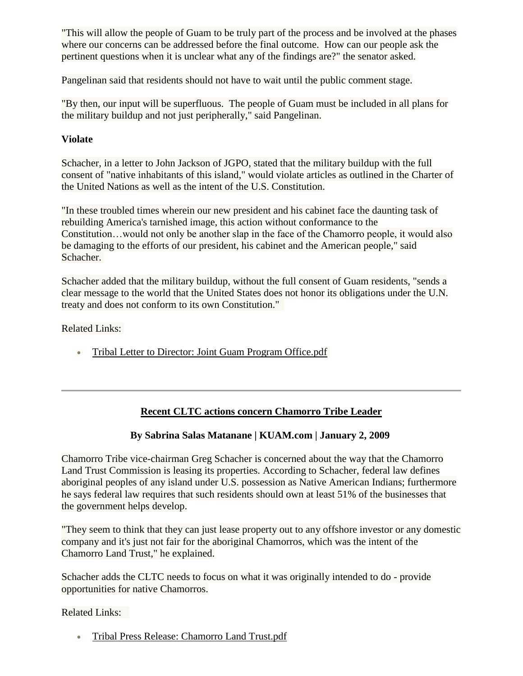"This will allow the people of Guam to be truly part of the process and be involved at the phases where our concerns can be addressed before the final outcome. How can our people ask the pertinent questions when it is unclear what any of the findings are?" the senator asked.

Pangelinan said that residents should not have to wait until the public comment stage.

"By then, our input will be superfluous. The people of Guam must be included in all plans for the military buildup and not just peripherally," said Pangelinan.

#### **Violate**

Schacher, in a letter to John Jackson of JGPO, stated that the military buildup with the full consent of "native inhabitants of this island," would violate articles as outlined in the Charter of the United Nations as well as the intent of the U.S. Constitution.

"In these troubled times wherein our new president and his cabinet face the daunting task of rebuilding America's tarnished image, this action without conformance to the Constitution…would not only be another slap in the face of the Chamorro people, it would also be damaging to the efforts of our president, his cabinet and the American people," said Schacher.

Schacher added that the military buildup, without the full consent of Guam residents, "sends a clear message to the world that the United States does not honor its obligations under the U.N. treaty and does not conform to its own Constitution."

Related Links:

• [Tribal Letter to Director: Joint Guam Program Office.pdf](http://chamorrotribe.webs.com/Tribal%20Correspondence/JGPO%20letter%20to%20director.pdf)

## **Recent CLTC actions concern Chamorro Tribe Leader**

## **By Sabrina Salas Matanane | KUAM.com | January 2, 2009**

Chamorro Tribe vice-chairman Greg Schacher is concerned about the way that the Chamorro Land Trust Commission is leasing its properties. According to Schacher, federal law defines aboriginal peoples of any island under U.S. possession as Native American Indians; furthermore he says federal law requires that such residents should own at least 51% of the businesses that the government helps develop.

"They seem to think that they can just lease property out to any offshore investor or any domestic company and it's just not fair for the aboriginal Chamorros, which was the intent of the Chamorro Land Trust," he explained.

Schacher adds the CLTC needs to focus on what it was originally intended to do - provide opportunities for native Chamorros.

#### Related Links:

[Tribal Press Release: Chamorro Land Trust.pdf](http://chamorrotribe.webs.com/Press%20Releases/chamorro%20land%20trust.pdf)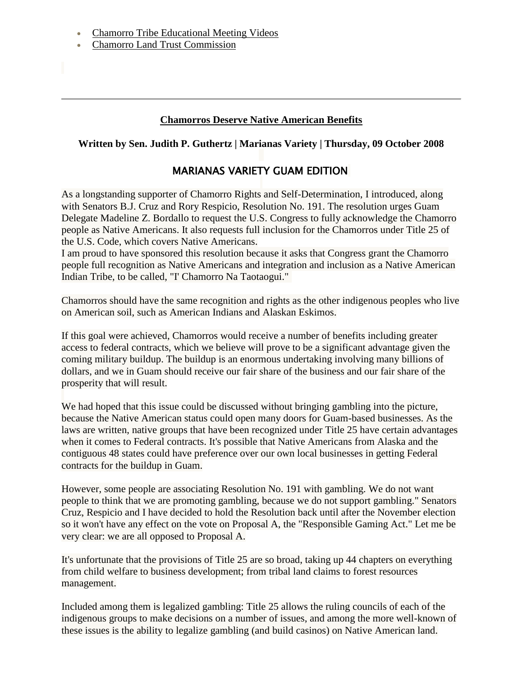- [Chamorro Tribe Educational Meeting Videos](http://www.youtube.com/chamorrotribe671)
- [Chamorro Land Trust Commission](http://www.cltcguam.org/)

#### **Chamorros Deserve Native American Benefits**

#### **Written by Sen. Judith P. Guthertz | Marianas Variety | Thursday, 09 October 2008**

## MARIANAS VARIETY GUAM EDITION

As a longstanding supporter of Chamorro Rights and Self-Determination, I introduced, along with Senators B.J. Cruz and Rory Respicio, Resolution No. 191. The resolution urges Guam Delegate Madeline Z. Bordallo to request the U.S. Congress to fully acknowledge the Chamorro people as Native Americans. It also requests full inclusion for the Chamorros under Title 25 of the U.S. Code, which covers Native Americans.

I am proud to have sponsored this resolution because it asks that Congress grant the Chamorro people full recognition as Native Americans and integration and inclusion as a Native American Indian Tribe, to be called, "I' Chamorro Na Taotaogui."

Chamorros should have the same recognition and rights as the other indigenous peoples who live on American soil, such as American Indians and Alaskan Eskimos.

If this goal were achieved, Chamorros would receive a number of benefits including greater access to federal contracts, which we believe will prove to be a significant advantage given the coming military buildup. The buildup is an enormous undertaking involving many billions of dollars, and we in Guam should receive our fair share of the business and our fair share of the prosperity that will result.

We had hoped that this issue could be discussed without bringing gambling into the picture, because the Native American status could open many doors for Guam-based businesses. As the laws are written, native groups that have been recognized under Title 25 have certain advantages when it comes to Federal contracts. It's possible that Native Americans from Alaska and the contiguous 48 states could have preference over our own local businesses in getting Federal contracts for the buildup in Guam.

However, some people are associating Resolution No. 191 with gambling. We do not want people to think that we are promoting gambling, because we do not support gambling." Senators Cruz, Respicio and I have decided to hold the Resolution back until after the November election so it won't have any effect on the vote on Proposal A, the "Responsible Gaming Act." Let me be very clear: we are all opposed to Proposal A.

It's unfortunate that the provisions of Title 25 are so broad, taking up 44 chapters on everything from child welfare to business development; from tribal land claims to forest resources management.

Included among them is legalized gambling: Title 25 allows the ruling councils of each of the indigenous groups to make decisions on a number of issues, and among the more well-known of these issues is the ability to legalize gambling (and build casinos) on Native American land.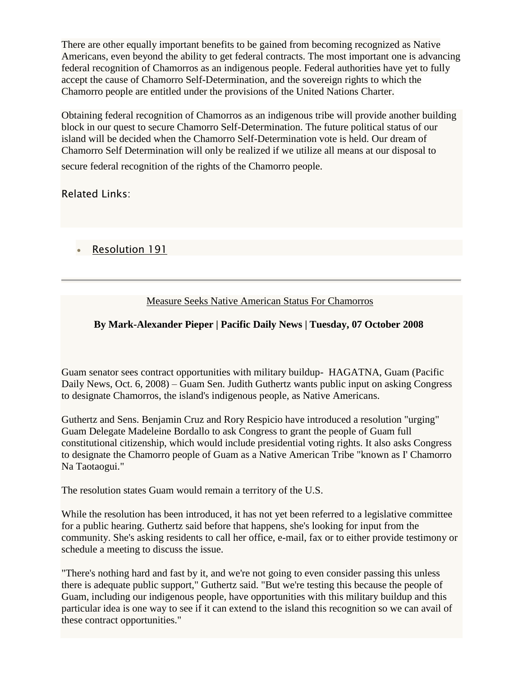There are other equally important benefits to be gained from becoming recognized as Native Americans, even beyond the ability to get federal contracts. The most important one is advancing federal recognition of Chamorros as an indigenous people. Federal authorities have yet to fully accept the cause of Chamorro Self-Determination, and the sovereign rights to which the Chamorro people are entitled under the provisions of the United Nations Charter.

Obtaining federal recognition of Chamorros as an indigenous tribe will provide another building block in our quest to secure Chamorro Self-Determination. The future political status of our island will be decided when the Chamorro Self-Determination vote is held. Our dream of Chamorro Self Determination will only be realized if we utilize all means at our disposal to secure federal recognition of the rights of the Chamorro people.

## Related Links:

[Resolution 191](http://www.guamlegislature.com/Leg_Res_29th/Intro/Res.No.%20191%20%28LS%29%20Intro.pdf)

## Measure Seeks Native American Status For Chamorros

## **By Mark-Alexander Pieper | Pacific Daily News | Tuesday, 07 October 2008**

Guam senator sees contract opportunities with military buildup- HAGATNA, Guam (Pacific Daily News, Oct. 6, 2008) – Guam Sen. Judith Guthertz wants public input on asking Congress to designate Chamorros, the island's indigenous people, as Native Americans.

Guthertz and Sens. Benjamin Cruz and Rory Respicio have introduced a resolution "urging" Guam Delegate Madeleine Bordallo to ask Congress to grant the people of Guam full constitutional citizenship, which would include presidential voting rights. It also asks Congress to designate the Chamorro people of Guam as a Native American Tribe "known as I' Chamorro Na Taotaogui."

The resolution states Guam would remain a territory of the U.S.

While the resolution has been introduced, it has not yet been referred to a legislative committee for a public hearing. Guthertz said before that happens, she's looking for input from the community. She's asking residents to call her office, e-mail, fax or to either provide testimony or schedule a meeting to discuss the issue.

"There's nothing hard and fast by it, and we're not going to even consider passing this unless there is adequate public support," Guthertz said. "But we're testing this because the people of Guam, including our indigenous people, have opportunities with this military buildup and this particular idea is one way to see if it can extend to the island this recognition so we can avail of these contract opportunities."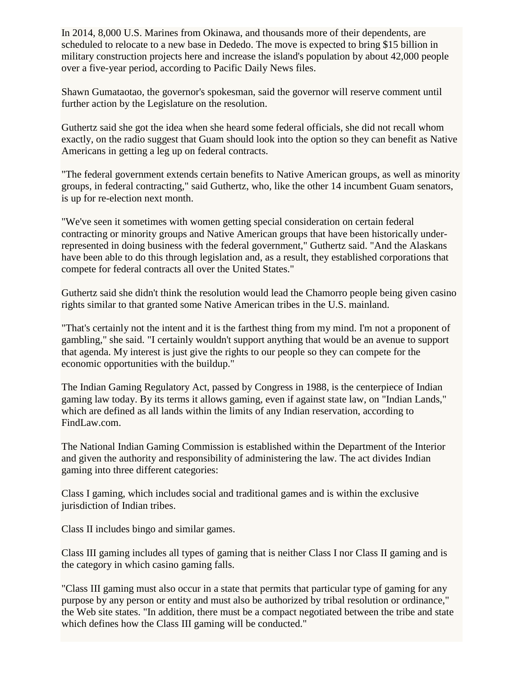In 2014, 8,000 U.S. Marines from Okinawa, and thousands more of their dependents, are scheduled to relocate to a new base in Dededo. The move is expected to bring \$15 billion in military construction projects here and increase the island's population by about 42,000 people over a five-year period, according to Pacific Daily News files.

Shawn Gumataotao, the governor's spokesman, said the governor will reserve comment until further action by the Legislature on the resolution.

Guthertz said she got the idea when she heard some federal officials, she did not recall whom exactly, on the radio suggest that Guam should look into the option so they can benefit as Native Americans in getting a leg up on federal contracts.

"The federal government extends certain benefits to Native American groups, as well as minority groups, in federal contracting," said Guthertz, who, like the other 14 incumbent Guam senators, is up for re-election next month.

"We've seen it sometimes with women getting special consideration on certain federal contracting or minority groups and Native American groups that have been historically underrepresented in doing business with the federal government," Guthertz said. "And the Alaskans have been able to do this through legislation and, as a result, they established corporations that compete for federal contracts all over the United States."

Guthertz said she didn't think the resolution would lead the Chamorro people being given casino rights similar to that granted some Native American tribes in the U.S. mainland.

"That's certainly not the intent and it is the farthest thing from my mind. I'm not a proponent of gambling," she said. "I certainly wouldn't support anything that would be an avenue to support that agenda. My interest is just give the rights to our people so they can compete for the economic opportunities with the buildup."

The Indian Gaming Regulatory Act, passed by Congress in 1988, is the centerpiece of Indian gaming law today. By its terms it allows gaming, even if against state law, on "Indian Lands," which are defined as all lands within the limits of any Indian reservation, according to FindLaw.com.

The National Indian Gaming Commission is established within the Department of the Interior and given the authority and responsibility of administering the law. The act divides Indian gaming into three different categories:

Class I gaming, which includes social and traditional games and is within the exclusive jurisdiction of Indian tribes.

Class II includes bingo and similar games.

Class III gaming includes all types of gaming that is neither Class I nor Class II gaming and is the category in which casino gaming falls.

"Class III gaming must also occur in a state that permits that particular type of gaming for any purpose by any person or entity and must also be authorized by tribal resolution or ordinance," the Web site states. "In addition, there must be a compact negotiated between the tribe and state which defines how the Class III gaming will be conducted."